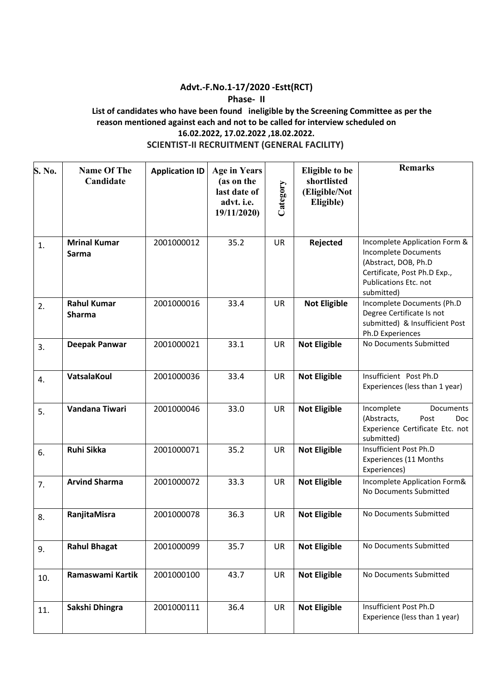## **Advt.-F.No.1-17/2020 -Estt(RCT)**

## **Phase- II**

## **List of candidates who have been found ineligible by the Screening Committee as per the reason mentioned against each and not to be called for interview scheduled on 16.02.2022, 17.02.2022 ,18.02.2022.**

## **SCIENTIST-II RECRUITMENT (GENERAL FACILITY)**

| S. No. | <b>Name Of The</b><br>Candidate     | <b>Application ID</b> | <b>Age in Years</b><br>(as on the<br>last date of<br>advt. i.e.<br>19/11/2020) | Category  | <b>Eligible to be</b><br>shortlisted<br>(Eligible/Not<br>Eligible) | <b>Remarks</b>                                                                                                                                                     |
|--------|-------------------------------------|-----------------------|--------------------------------------------------------------------------------|-----------|--------------------------------------------------------------------|--------------------------------------------------------------------------------------------------------------------------------------------------------------------|
| 1.     | <b>Mrinal Kumar</b><br>Sarma        | 2001000012            | 35.2                                                                           | <b>UR</b> | Rejected                                                           | Incomplete Application Form &<br><b>Incomplete Documents</b><br>(Abstract, DOB, Ph.D<br>Certificate, Post Ph.D Exp.,<br><b>Publications Etc. not</b><br>submitted) |
| 2.     | <b>Rahul Kumar</b><br><b>Sharma</b> | 2001000016            | 33.4                                                                           | <b>UR</b> | <b>Not Eligible</b>                                                | Incomplete Documents (Ph.D<br>Degree Certificate Is not<br>submitted) & Insufficient Post<br>Ph.D Experiences                                                      |
| 3.     | Deepak Panwar                       | 2001000021            | 33.1                                                                           | <b>UR</b> | <b>Not Eligible</b>                                                | No Documents Submitted                                                                                                                                             |
| 4.     | VatsalaKoul                         | 2001000036            | 33.4                                                                           | UR        | <b>Not Eligible</b>                                                | Insufficient Post Ph.D<br>Experiences (less than 1 year)                                                                                                           |
| 5.     | Vandana Tiwari                      | 2001000046            | 33.0                                                                           | <b>UR</b> | <b>Not Eligible</b>                                                | Incomplete<br>Documents<br>(Abstracts,<br>Post<br><b>Doc</b><br>Experience Certificate Etc. not<br>submitted)                                                      |
| 6.     | <b>Ruhi Sikka</b>                   | 2001000071            | 35.2                                                                           | <b>UR</b> | <b>Not Eligible</b>                                                | Insufficient Post Ph.D<br>Experiences (11 Months<br>Experiences)                                                                                                   |
| 7.     | <b>Arvind Sharma</b>                | 2001000072            | 33.3                                                                           | UR        | <b>Not Eligible</b>                                                | Incomplete Application Form&<br>No Documents Submitted                                                                                                             |
| 8.     | RanjitaMisra                        | 2001000078            | 36.3                                                                           | UR        | <b>Not Eligible</b>                                                | No Documents Submitted                                                                                                                                             |
| 9.     | <b>Rahul Bhagat</b>                 | 2001000099            | 35.7                                                                           | UR        | <b>Not Eligible</b>                                                | No Documents Submitted                                                                                                                                             |
| 10.    | Ramaswami Kartik                    | 2001000100            | 43.7                                                                           | UR        | <b>Not Eligible</b>                                                | No Documents Submitted                                                                                                                                             |
| 11.    | Sakshi Dhingra                      | 2001000111            | 36.4                                                                           | UR        | <b>Not Eligible</b>                                                | Insufficient Post Ph.D<br>Experience (less than 1 year)                                                                                                            |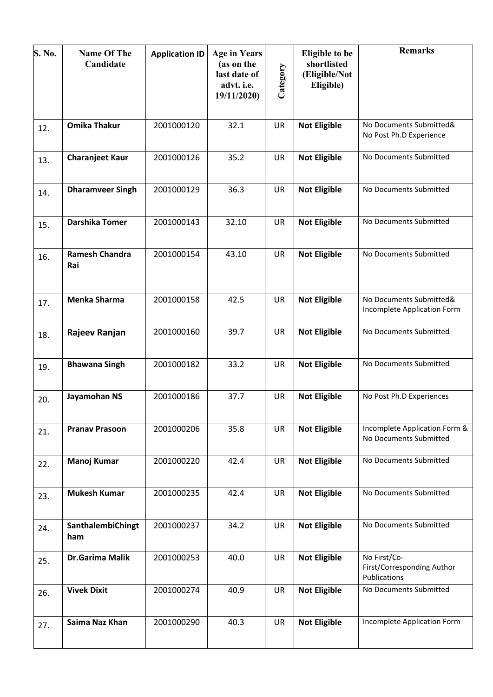| S. No. | <b>Name Of The</b><br>Candidate | <b>Application ID</b> | <b>Age in Years</b><br>(as on the<br>last date of<br>advt. i.e.<br>19/11/2020) | Category  | <b>Eligible to be</b><br>shortlisted<br>(Eligible/Not<br>Eligible) | <b>Remarks</b>                                             |
|--------|---------------------------------|-----------------------|--------------------------------------------------------------------------------|-----------|--------------------------------------------------------------------|------------------------------------------------------------|
| 12.    | <b>Omika Thakur</b>             | 2001000120            | 32.1                                                                           | <b>UR</b> | <b>Not Eligible</b>                                                | No Documents Submitted&<br>No Post Ph.D Experience         |
| 13.    | <b>Charanjeet Kaur</b>          | 2001000126            | 35.2                                                                           | <b>UR</b> | <b>Not Eligible</b>                                                | No Documents Submitted                                     |
| 14.    | <b>Dharamveer Singh</b>         | 2001000129            | 36.3                                                                           | <b>UR</b> | <b>Not Eligible</b>                                                | No Documents Submitted                                     |
| 15.    | <b>Darshika Tomer</b>           | 2001000143            | 32.10                                                                          | <b>UR</b> | <b>Not Eligible</b>                                                | No Documents Submitted                                     |
| 16.    | <b>Ramesh Chandra</b><br>Rai    | 2001000154            | 43.10                                                                          | <b>UR</b> | <b>Not Eligible</b>                                                | No Documents Submitted                                     |
| 17.    | <b>Menka Sharma</b>             | 2001000158            | 42.5                                                                           | <b>UR</b> | <b>Not Eligible</b>                                                | No Documents Submitted&<br>Incomplete Application Form     |
| 18.    | Rajeev Ranjan                   | 2001000160            | 39.7                                                                           | <b>UR</b> | <b>Not Eligible</b>                                                | No Documents Submitted                                     |
| 19.    | <b>Bhawana Singh</b>            | 2001000182            | 33.2                                                                           | <b>UR</b> | <b>Not Eligible</b>                                                | No Documents Submitted                                     |
| 20.    | Jayamohan NS                    | 2001000186            | 37.7                                                                           | <b>UR</b> | <b>Not Eligible</b>                                                | No Post Ph.D Experiences                                   |
| 21.    | <b>Pranav Prasoon</b>           | 2001000206            | 35.8                                                                           | <b>UR</b> | <b>Not Eligible</b>                                                | Incomplete Application Form &<br>No Documents Submitted    |
| 22.    | Manoj Kumar                     | 2001000220            | 42.4                                                                           | <b>UR</b> | <b>Not Eligible</b>                                                | No Documents Submitted                                     |
| 23.    | <b>Mukesh Kumar</b>             | 2001000235            | 42.4                                                                           | <b>UR</b> | <b>Not Eligible</b>                                                | No Documents Submitted                                     |
| 24.    | SanthalembiChingt<br>ham        | 2001000237            | 34.2                                                                           | UR        | <b>Not Eligible</b>                                                | No Documents Submitted                                     |
| 25.    | <b>Dr.Garima Malik</b>          | 2001000253            | 40.0                                                                           | UR        | <b>Not Eligible</b>                                                | No First/Co-<br>First/Corresponding Author<br>Publications |
| 26.    | <b>Vivek Dixit</b>              | 2001000274            | 40.9                                                                           | UR        | <b>Not Eligible</b>                                                | No Documents Submitted                                     |
| 27.    | Saima Naz Khan                  | 2001000290            | 40.3                                                                           | UR        | <b>Not Eligible</b>                                                | Incomplete Application Form                                |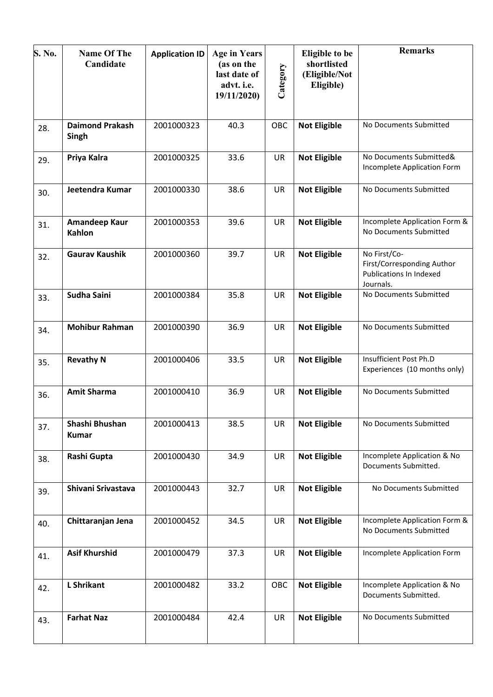| S. No. | <b>Name Of The</b><br>Candidate | <b>Application ID</b> | <b>Age in Years</b><br>(as on the<br>last date of<br>advt. i.e. | Category  | <b>Eligible to be</b><br>shortlisted<br>(Eligible/Not<br>Eligible) | <b>Remarks</b>                                                                            |
|--------|---------------------------------|-----------------------|-----------------------------------------------------------------|-----------|--------------------------------------------------------------------|-------------------------------------------------------------------------------------------|
|        |                                 |                       | 19/11/2020)                                                     |           |                                                                    |                                                                                           |
| 28.    | <b>Daimond Prakash</b><br>Singh | 2001000323            | 40.3                                                            | OBC       | <b>Not Eligible</b>                                                | No Documents Submitted                                                                    |
| 29.    | Priya Kalra                     | 2001000325            | 33.6                                                            | <b>UR</b> | <b>Not Eligible</b>                                                | No Documents Submitted&<br>Incomplete Application Form                                    |
| 30.    | Jeetendra Kumar                 | 2001000330            | 38.6                                                            | <b>UR</b> | <b>Not Eligible</b>                                                | No Documents Submitted                                                                    |
| 31.    | Amandeep Kaur<br><b>Kahlon</b>  | 2001000353            | 39.6                                                            | <b>UR</b> | <b>Not Eligible</b>                                                | Incomplete Application Form &<br>No Documents Submitted                                   |
| 32.    | <b>Gaurav Kaushik</b>           | 2001000360            | 39.7                                                            | <b>UR</b> | <b>Not Eligible</b>                                                | No First/Co-<br>First/Corresponding Author<br><b>Publications In Indexed</b><br>Journals. |
| 33.    | <b>Sudha Saini</b>              | 2001000384            | 35.8                                                            | <b>UR</b> | <b>Not Eligible</b>                                                | No Documents Submitted                                                                    |
| 34.    | <b>Mohibur Rahman</b>           | 2001000390            | 36.9                                                            | <b>UR</b> | <b>Not Eligible</b>                                                | No Documents Submitted                                                                    |
| 35.    | <b>Revathy N</b>                | 2001000406            | 33.5                                                            | <b>UR</b> | <b>Not Eligible</b>                                                | Insufficient Post Ph.D<br>Experiences (10 months only)                                    |
| 36.    | <b>Amit Sharma</b>              | 2001000410            | 36.9                                                            | <b>UR</b> | <b>Not Eligible</b>                                                | No Documents Submitted                                                                    |
| 37.    | Shashi Bhushan<br><b>Kumar</b>  | 2001000413            | 38.5                                                            | UR        | <b>Not Eligible</b>                                                | No Documents Submitted                                                                    |
| 38.    | Rashi Gupta                     | 2001000430            | 34.9                                                            | <b>UR</b> | <b>Not Eligible</b>                                                | Incomplete Application & No<br>Documents Submitted.                                       |
| 39.    | Shivani Srivastava              | 2001000443            | 32.7                                                            | <b>UR</b> | <b>Not Eligible</b>                                                | No Documents Submitted                                                                    |
| 40.    | Chittaranjan Jena               | 2001000452            | 34.5                                                            | <b>UR</b> | <b>Not Eligible</b>                                                | Incomplete Application Form &<br>No Documents Submitted                                   |
| 41.    | <b>Asif Khurshid</b>            | 2001000479            | 37.3                                                            | <b>UR</b> | <b>Not Eligible</b>                                                | Incomplete Application Form                                                               |
| 42.    | <b>L</b> Shrikant               | 2001000482            | 33.2                                                            | OBC       | <b>Not Eligible</b>                                                | Incomplete Application & No<br>Documents Submitted.                                       |
| 43.    | <b>Farhat Naz</b>               | 2001000484            | 42.4                                                            | <b>UR</b> | <b>Not Eligible</b>                                                | No Documents Submitted                                                                    |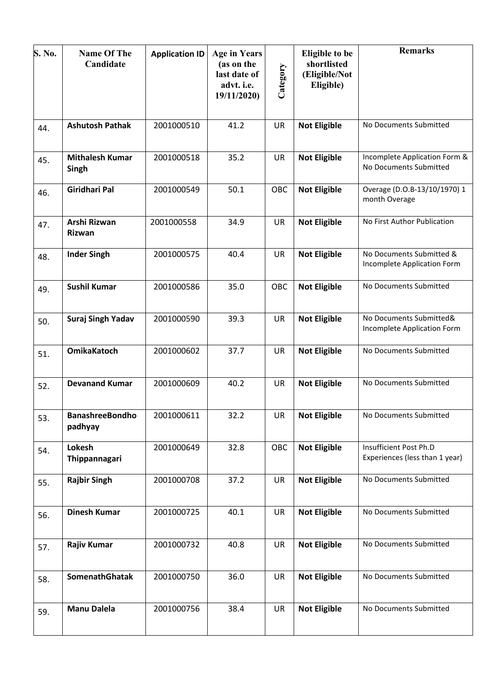| S. No. | <b>Name Of The</b><br>Candidate   | <b>Application ID</b> | <b>Age in Years</b><br>(as on the<br>last date of<br>advt. i.e.<br>19/11/2020) | Category  | <b>Eligible to be</b><br>shortlisted<br>(Eligible/Not<br>Eligible) | <b>Remarks</b>                                           |
|--------|-----------------------------------|-----------------------|--------------------------------------------------------------------------------|-----------|--------------------------------------------------------------------|----------------------------------------------------------|
| 44.    | <b>Ashutosh Pathak</b>            | 2001000510            | 41.2                                                                           | UR        | <b>Not Eligible</b>                                                | No Documents Submitted                                   |
| 45.    | <b>Mithalesh Kumar</b><br>Singh   | 2001000518            | 35.2                                                                           | <b>UR</b> | <b>Not Eligible</b>                                                | Incomplete Application Form &<br>No Documents Submitted  |
| 46.    | <b>Giridhari Pal</b>              | 2001000549            | 50.1                                                                           | OBC       | <b>Not Eligible</b>                                                | Overage (D.O.B-13/10/1970) 1<br>month Overage            |
| 47.    | Arshi Rizwan<br><b>Rizwan</b>     | 2001000558            | 34.9                                                                           | UR        | <b>Not Eligible</b>                                                | No First Author Publication                              |
| 48.    | <b>Inder Singh</b>                | 2001000575            | 40.4                                                                           | UR        | <b>Not Eligible</b>                                                | No Documents Submitted &<br>Incomplete Application Form  |
| 49.    | <b>Sushil Kumar</b>               | 2001000586            | 35.0                                                                           | OBC       | <b>Not Eligible</b>                                                | No Documents Submitted                                   |
| 50.    | <b>Suraj Singh Yadav</b>          | 2001000590            | 39.3                                                                           | UR        | <b>Not Eligible</b>                                                | No Documents Submitted&<br>Incomplete Application Form   |
| 51.    | <b>OmikaKatoch</b>                | 2001000602            | 37.7                                                                           | UR        | <b>Not Eligible</b>                                                | No Documents Submitted                                   |
| 52.    | <b>Devanand Kumar</b>             | 2001000609            | 40.2                                                                           | UR        | <b>Not Eligible</b>                                                | No Documents Submitted                                   |
| 53.    | <b>BanashreeBondho</b><br>padhyay | 2001000611            | 32.2                                                                           | UR        | <b>Not Eligible</b>                                                | No Documents Submitted                                   |
| 54.    | Lokesh<br>Thippannagari           | 2001000649            | 32.8                                                                           | OBC       | <b>Not Eligible</b>                                                | Insufficient Post Ph.D<br>Experiences (less than 1 year) |
| 55.    | <b>Rajbir Singh</b>               | 2001000708            | 37.2                                                                           | <b>UR</b> | <b>Not Eligible</b>                                                | No Documents Submitted                                   |
| 56.    | <b>Dinesh Kumar</b>               | 2001000725            | 40.1                                                                           | UR        | <b>Not Eligible</b>                                                | No Documents Submitted                                   |
| 57.    | Rajiv Kumar                       | 2001000732            | 40.8                                                                           | <b>UR</b> | <b>Not Eligible</b>                                                | No Documents Submitted                                   |
| 58.    | SomenathGhatak                    | 2001000750            | 36.0                                                                           | UR        | <b>Not Eligible</b>                                                | No Documents Submitted                                   |
| 59.    | <b>Manu Dalela</b>                | 2001000756            | 38.4                                                                           | UR        | <b>Not Eligible</b>                                                | No Documents Submitted                                   |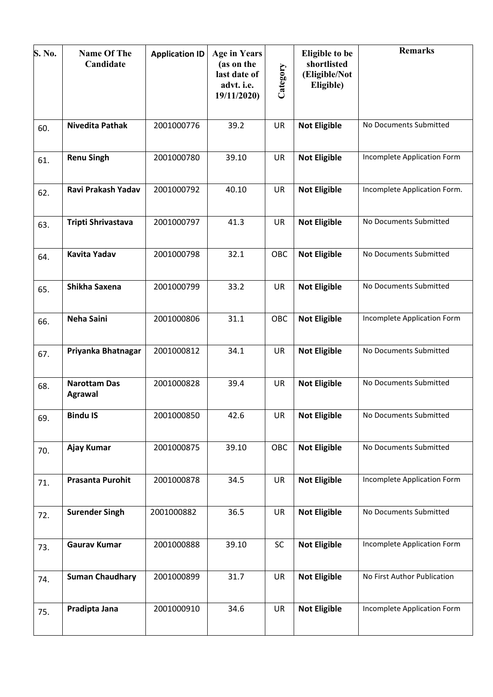| S. No. | <b>Name Of The</b><br>Candidate       | <b>Application ID</b> | <b>Age in Years</b><br>(as on the<br>last date of<br>advt. i.e.<br>19/11/2020) | Category  | <b>Eligible to be</b><br>shortlisted<br>(Eligible/Not<br>Eligible) | <b>Remarks</b>               |
|--------|---------------------------------------|-----------------------|--------------------------------------------------------------------------------|-----------|--------------------------------------------------------------------|------------------------------|
| 60.    | <b>Nivedita Pathak</b>                | 2001000776            | 39.2                                                                           | <b>UR</b> | <b>Not Eligible</b>                                                | No Documents Submitted       |
| 61.    | <b>Renu Singh</b>                     | 2001000780            | 39.10                                                                          | <b>UR</b> | <b>Not Eligible</b>                                                | Incomplete Application Form  |
| 62.    | Ravi Prakash Yadav                    | 2001000792            | 40.10                                                                          | <b>UR</b> | <b>Not Eligible</b>                                                | Incomplete Application Form. |
| 63.    | Tripti Shrivastava                    | 2001000797            | 41.3                                                                           | <b>UR</b> | <b>Not Eligible</b>                                                | No Documents Submitted       |
| 64.    | <b>Kavita Yadav</b>                   | 2001000798            | 32.1                                                                           | OBC       | <b>Not Eligible</b>                                                | No Documents Submitted       |
| 65.    | Shikha Saxena                         | 2001000799            | 33.2                                                                           | <b>UR</b> | <b>Not Eligible</b>                                                | No Documents Submitted       |
| 66.    | <b>Neha Saini</b>                     | 2001000806            | 31.1                                                                           | OBC       | <b>Not Eligible</b>                                                | Incomplete Application Form  |
| 67.    | Priyanka Bhatnagar                    | 2001000812            | 34.1                                                                           | UR        | <b>Not Eligible</b>                                                | No Documents Submitted       |
| 68.    | <b>Narottam Das</b><br><b>Agrawal</b> | 2001000828            | 39.4                                                                           | UR        | <b>Not Eligible</b>                                                | No Documents Submitted       |
| 69.    | <b>Bindu IS</b>                       | 2001000850            | 42.6                                                                           | UR        | <b>Not Eligible</b>                                                | No Documents Submitted       |
| 70.    | Ajay Kumar                            | 2001000875            | 39.10                                                                          | OBC       | <b>Not Eligible</b>                                                | No Documents Submitted       |
| 71.    | <b>Prasanta Purohit</b>               | 2001000878            | 34.5                                                                           | <b>UR</b> | <b>Not Eligible</b>                                                | Incomplete Application Form  |
| 72.    | <b>Surender Singh</b>                 | 2001000882            | 36.5                                                                           | UR        | <b>Not Eligible</b>                                                | No Documents Submitted       |
| 73.    | <b>Gaurav Kumar</b>                   | 2001000888            | 39.10                                                                          | <b>SC</b> | <b>Not Eligible</b>                                                | Incomplete Application Form  |
| 74.    | <b>Suman Chaudhary</b>                | 2001000899            | 31.7                                                                           | UR        | <b>Not Eligible</b>                                                | No First Author Publication  |
| 75.    | Pradipta Jana                         | 2001000910            | 34.6                                                                           | UR        | <b>Not Eligible</b>                                                | Incomplete Application Form  |